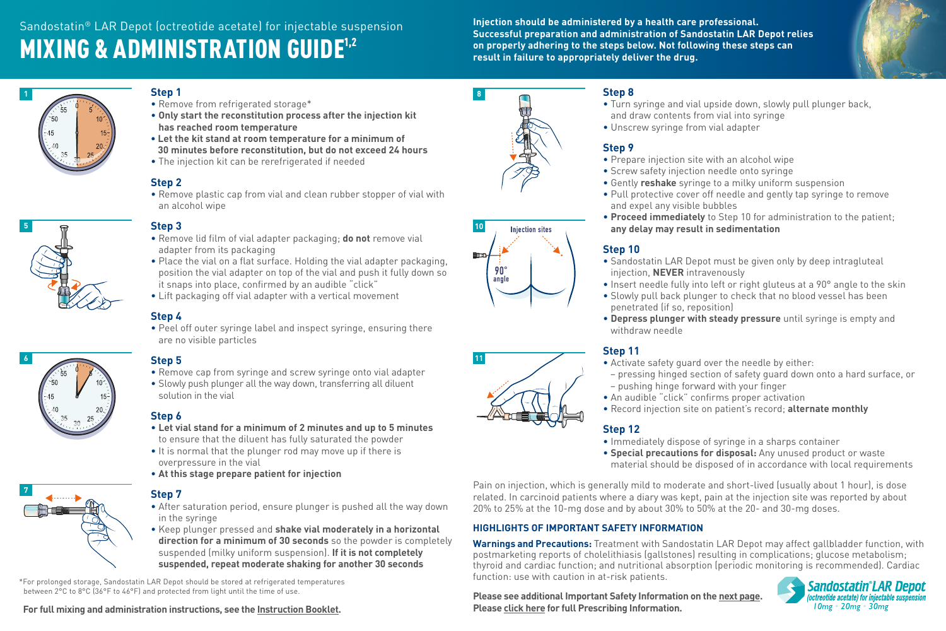**Successful preparation and administration of Sandostatin LAR Depot relies on properly adhering to the steps below. Not following these steps can result in failure to appropriately deliver the drug.**



#### **Step 1**

- Remove from refrigerated storage\*
- **Only start the reconstitution process after the injection kit has reached room temperature**
- **Let the kit stand at room temperature for a minimum of 30 minutes before reconstitution, but do not exceed 24 hours**
- The injection kit can be rerefrigerated if needed

# **Step 2**

• Remove plastic cap from vial and clean rubber stopper of vial with an alcohol wipe



**1**

# **Step 3**

- Remove lid film of vial adapter packaging; **do not** remove vial adapter from its packaging
- Place the vial on a flat surface. Holding the vial adapter packaging, position the vial adapter on top of the vial and push it fully down so it snaps into place, confirmed by an audible "click"
- Lift packaging off vial adapter with a vertical movement

### **Step 4**

• Peel off outer syringe label and inspect syringe, ensuring there are no visible particles

# **6**

# **Step 5**

- Remove cap from syringe and screw syringe onto vial adapter
- Slowly push plunger all the way down, transferring all diluent solution in the vial

### **Step 6**

- **Let vial stand for a minimum of 2 minutes and up to 5 minutes**  to ensure that the diluent has fully saturated the powder
- It is normal that the plunger rod may move up if there is overpressure in the vial
- **At this stage prepare patient for injection**



# **Step 7**

- After saturation period, ensure plunger is pushed all the way down in the syringe
- Keep plunger pressed and **shake vial moderately in a horizontal direction for a minimum of 30 seconds** so the powder is completely suspended (milky uniform suspension). **If it is not completely suspended, repeat moderate shaking for another 30 seconds**

\*For prolonged storage, Sandostatin LAR Depot should be stored at refrigerated temperatures between 2°C to 8°C (36°F to 46°F) and protected from light until the time of use.







- Turn syringe and vial upside down, slowly pull plunger back, and draw contents from vial into syringe
- Unscrew syringe from vial adapter

#### **Step 9**

- Prepare injection site with an alcohol wipe
- Screw safety injection needle onto syringe
- Gently **reshake** syringe to a milky uniform suspension
- Pull protective cover off needle and gently tap syringe to remove and expel any visible bubbles
- **Proceed immediately** to Step 10 for administration to the patient; **any delay may result in sedimentation**

## **Step 10**

- Sandostatin LAR Depot must be given only by deep intragluteal injection, **NEVER** intravenously
- Insert needle fully into left or right gluteus at a 90° angle to the skin
- Slowly pull back plunger to check that no blood vessel has been penetrated (if so, reposition)
- **Depress plunger with steady pressure** until syringe is empty and withdraw needle

### **Step 11**

- Activate safety guard over the needle by either:
- pressing hinged section of safety guard down onto a hard surface, or – pushing hinge forward with your finger
- An audible "click" confirms proper activation
- Record injection site on patient's record; **alternate monthly**

## **Step 12**

- Immediately dispose of syringe in a sharps container
- **Special precautions for disposal:** Any unused product or waste material should be disposed of in accordance with local requirements

Pain on injection, which is generally mild to moderate and short-lived (usually about 1 hour), is dose related. In carcinoid patients where a diary was kept, pain at the injection site was reported by about 20% to 25% at the 10-mg dose and by about 30% to 50% at the 20- and 30-mg doses.

### **HIGHLIGHTS OF IMPORTANT SAFETY INFORMATION**

**Warnings and Precautions:** Treatment with Sandostatin LAR Depot may affect gallbladder function, with postmarketing reports of cholelithiasis (gallstones) resulting in complications; glucose metabolism; thyroid and cardiac function; and nutritional absorption (periodic monitoring is recommended). Cardiac function: use with caution in at-risk patients.

**Please see additional Important Safety Information on the next page.**





**11**